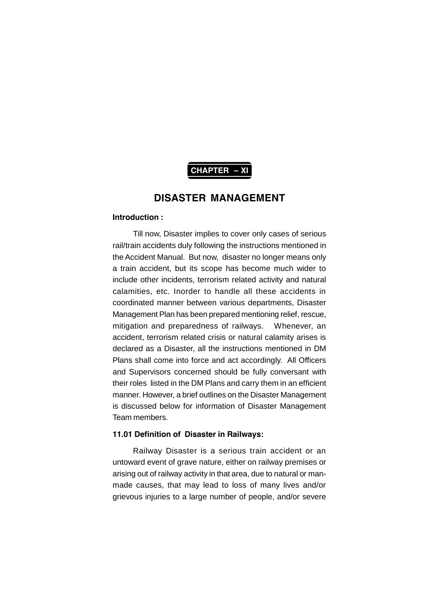

#### **Introduction :**

Till now, Disaster implies to cover only cases of serious rail/train accidents duly following the instructions mentioned in the Accident Manual. But now, disaster no longer means only a train accident, but its scope has become much wider to include other incidents, terrorism related activity and natural calamities, etc. Inorder to handle all these accidents in coordinated manner between various departments, Disaster Management Plan has been prepared mentioning relief, rescue, mitigation and preparedness of railways. Whenever, an accident, terrorism related crisis or natural calamity arises is declared as a Disaster, all the instructions mentioned in DM Plans shall come into force and act accordingly. All Officers and Supervisors concerned should be fully conversant with their roles listed in the DM Plans and carry them in an efficient manner. However, a brief outlines on the Disaster Management is discussed below for information of Disaster Management Team members.

# **11.01 Definition of Disaster in Railways:**

Railway Disaster is a serious train accident or an untoward event of grave nature, either on railway premises or arising out of railway activity in that area, due to natural or manmade causes, that may lead to loss of many lives and/or grievous injuries to a large number of people, and/or severe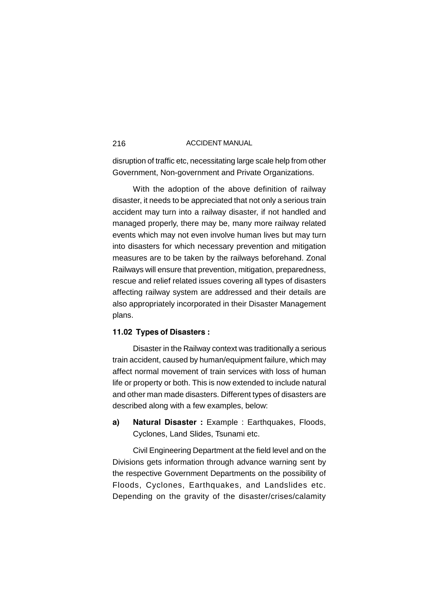disruption of traffic etc, necessitating large scale help from other Government, Non-government and Private Organizations.

With the adoption of the above definition of railway disaster, it needs to be appreciated that not only a serious train accident may turn into a railway disaster, if not handled and managed properly, there may be, many more railway related events which may not even involve human lives but may turn into disasters for which necessary prevention and mitigation measures are to be taken by the railways beforehand. Zonal Railways will ensure that prevention, mitigation, preparedness, rescue and relief related issues covering all types of disasters affecting railway system are addressed and their details are also appropriately incorporated in their Disaster Management plans.

# **11.02 Types of Disasters :**

Disaster in the Railway context was traditionally a serious train accident, caused by human/equipment failure, which may affect normal movement of train services with loss of human life or property or both. This is now extended to include natural and other man made disasters. Different types of disasters are described along with a few examples, below:

**a) Natural Disaster :** Example : Earthquakes, Floods, Cyclones, Land Slides, Tsunami etc.

Civil Engineering Department at the field level and on the Divisions gets information through advance warning sent by the respective Government Departments on the possibility of Floods, Cyclones, Earthquakes, and Landslides etc. Depending on the gravity of the disaster/crises/calamity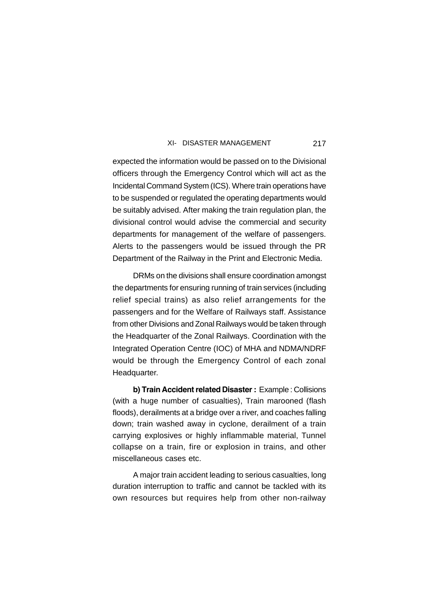expected the information would be passed on to the Divisional officers through the Emergency Control which will act as the Incidental Command System (ICS). Where train operations have to be suspended or regulated the operating departments would be suitably advised. After making the train regulation plan, the divisional control would advise the commercial and security departments for management of the welfare of passengers. Alerts to the passengers would be issued through the PR Department of the Railway in the Print and Electronic Media.

DRMs on the divisions shall ensure coordination amongst the departments for ensuring running of train services (including relief special trains) as also relief arrangements for the passengers and for the Welfare of Railways staff. Assistance from other Divisions and Zonal Railways would be taken through the Headquarter of the Zonal Railways. Coordination with the Integrated Operation Centre (IOC) of MHA and NDMA/NDRF would be through the Emergency Control of each zonal Headquarter.

**b) Train Accident related Disaster :** Example : Collisions (with a huge number of casualties), Train marooned (flash floods), derailments at a bridge over a river, and coaches falling down; train washed away in cyclone, derailment of a train carrying explosives or highly inflammable material, Tunnel collapse on a train, fire or explosion in trains, and other miscellaneous cases etc.

A major train accident leading to serious casualties, long duration interruption to traffic and cannot be tackled with its own resources but requires help from other non-railway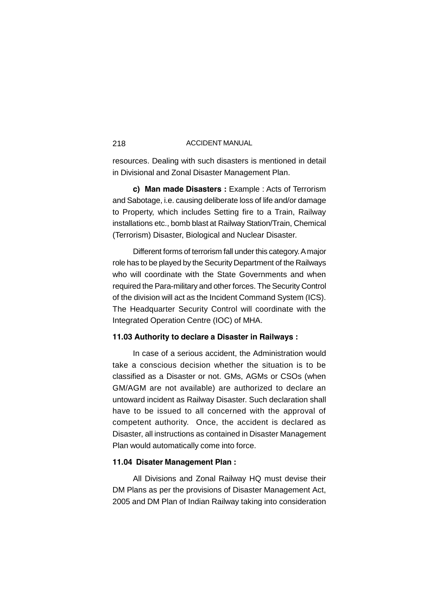resources. Dealing with such disasters is mentioned in detail in Divisional and Zonal Disaster Management Plan.

**c) Man made Disasters :** Example : Acts of Terrorism and Sabotage, i.e. causing deliberate loss of life and/or damage to Property, which includes Setting fire to a Train, Railway installations etc., bomb blast at Railway Station/Train, Chemical (Terrorism) Disaster, Biological and Nuclear Disaster.

Different forms of terrorism fall under this category. A major role has to be played by the Security Department of the Railways who will coordinate with the State Governments and when required the Para-military and other forces. The Security Control of the division will act as the Incident Command System (ICS). The Headquarter Security Control will coordinate with the Integrated Operation Centre (IOC) of MHA.

# **11.03 Authority to declare a Disaster in Railways :**

In case of a serious accident, the Administration would take a conscious decision whether the situation is to be classified as a Disaster or not. GMs, AGMs or CSOs (when GM/AGM are not available) are authorized to declare an untoward incident as Railway Disaster. Such declaration shall have to be issued to all concerned with the approval of competent authority. Once, the accident is declared as Disaster, all instructions as contained in Disaster Management Plan would automatically come into force.

# **11.04 Disater Management Plan :**

All Divisions and Zonal Railway HQ must devise their DM Plans as per the provisions of Disaster Management Act, 2005 and DM Plan of Indian Railway taking into consideration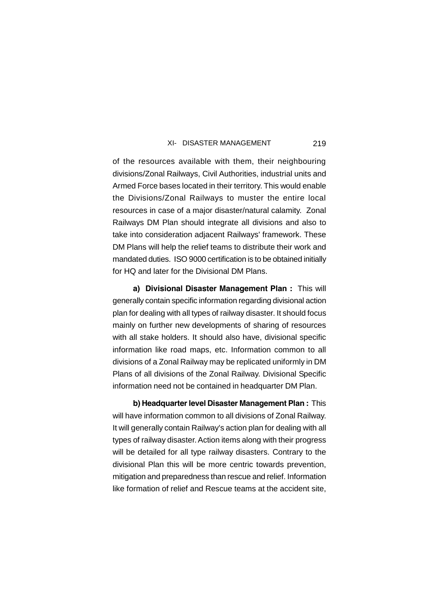of the resources available with them, their neighbouring divisions/Zonal Railways, Civil Authorities, industrial units and Armed Force bases located in their territory. This would enable the Divisions/Zonal Railways to muster the entire local resources in case of a major disaster/natural calamity. Zonal Railways DM Plan should integrate all divisions and also to take into consideration adjacent Railways' framework. These DM Plans will help the relief teams to distribute their work and mandated duties. ISO 9000 certification is to be obtained initially for HQ and later for the Divisional DM Plans.

**a) Divisional Disaster Management Plan :** This will generally contain specific information regarding divisional action plan for dealing with all types of railway disaster. It should focus mainly on further new developments of sharing of resources with all stake holders. It should also have, divisional specific information like road maps, etc. Information common to all divisions of a Zonal Railway may be replicated uniformly in DM Plans of all divisions of the Zonal Railway. Divisional Specific information need not be contained in headquarter DM Plan.

**b) Headquarter level Disaster Management Plan :** This will have information common to all divisions of Zonal Railway. It will generally contain Railway's action plan for dealing with all types of railway disaster. Action items along with their progress will be detailed for all type railway disasters. Contrary to the divisional Plan this will be more centric towards prevention, mitigation and preparedness than rescue and relief. Information like formation of relief and Rescue teams at the accident site,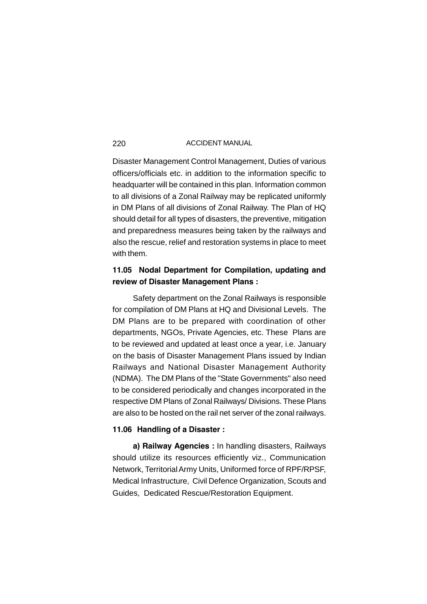Disaster Management Control Management, Duties of various officers/officials etc. in addition to the information specific to headquarter will be contained in this plan. Information common to all divisions of a Zonal Railway may be replicated uniformly in DM Plans of all divisions of Zonal Railway. The Plan of HQ should detail for all types of disasters, the preventive, mitigation and preparedness measures being taken by the railways and also the rescue, relief and restoration systems in place to meet with them.

# **11.05 Nodal Department for Compilation, updating and review of Disaster Management Plans :**

Safety department on the Zonal Railways is responsible for compilation of DM Plans at HQ and Divisional Levels. The DM Plans are to be prepared with coordination of other departments, NGOs, Private Agencies, etc. These Plans are to be reviewed and updated at least once a year, i.e. January on the basis of Disaster Management Plans issued by Indian Railways and National Disaster Management Authority (NDMA). The DM Plans of the "State Governments" also need to be considered periodically and changes incorporated in the respective DM Plans of Zonal Railways/ Divisions. These Plans are also to be hosted on the rail net server of the zonal railways.

# **11.06 Handling of a Disaster :**

**a) Railway Agencies :** In handling disasters, Railways should utilize its resources efficiently viz., Communication Network, Territorial Army Units, Uniformed force of RPF/RPSF, Medical Infrastructure, Civil Defence Organization, Scouts and Guides, Dedicated Rescue/Restoration Equipment.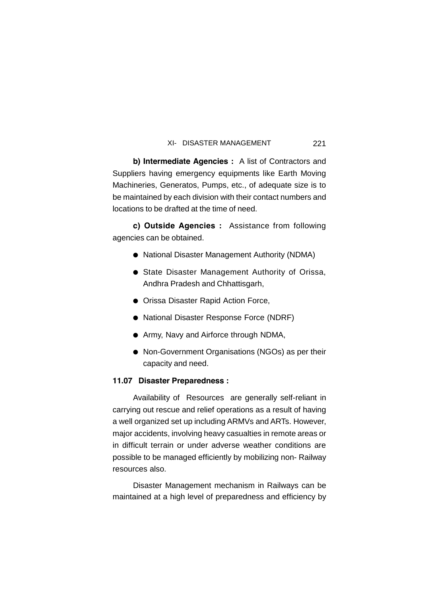**b) Intermediate Agencies :** A list of Contractors and Suppliers having emergency equipments like Earth Moving Machineries, Generatos, Pumps, etc., of adequate size is to be maintained by each division with their contact numbers and locations to be drafted at the time of need.

**c) Outside Agencies :** Assistance from following agencies can be obtained.

- National Disaster Management Authority (NDMA)
- State Disaster Management Authority of Orissa, Andhra Pradesh and Chhattisgarh,
- **Orissa Disaster Rapid Action Force,**
- National Disaster Response Force (NDRF)
- Army, Navy and Airforce through NDMA,
- Non-Government Organisations (NGOs) as per their capacity and need.

# **11.07 Disaster Preparedness :**

Availability of Resources are generally self-reliant in carrying out rescue and relief operations as a result of having a well organized set up including ARMVs and ARTs. However, major accidents, involving heavy casualties in remote areas or in difficult terrain or under adverse weather conditions are possible to be managed efficiently by mobilizing non- Railway resources also.

Disaster Management mechanism in Railways can be maintained at a high level of preparedness and efficiency by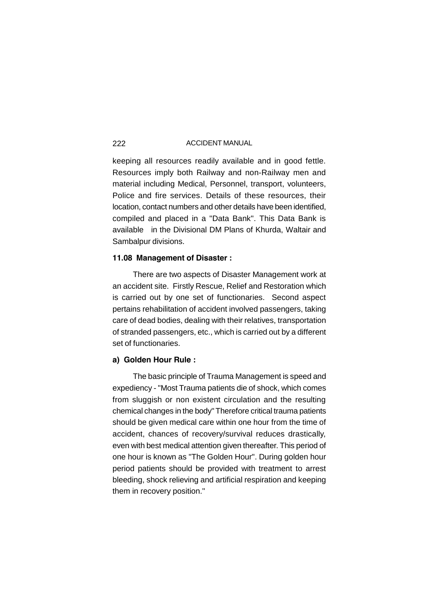keeping all resources readily available and in good fettle. Resources imply both Railway and non-Railway men and material including Medical, Personnel, transport, volunteers, Police and fire services. Details of these resources, their location, contact numbers and other details have been identified, compiled and placed in a "Data Bank". This Data Bank is available in the Divisional DM Plans of Khurda, Waltair and Sambalpur divisions.

# **11.08 Management of Disaster :**

There are two aspects of Disaster Management work at an accident site. Firstly Rescue, Relief and Restoration which is carried out by one set of functionaries. Second aspect pertains rehabilitation of accident involved passengers, taking care of dead bodies, dealing with their relatives, transportation of stranded passengers, etc., which is carried out by a different set of functionaries.

### **a) Golden Hour Rule :**

The basic principle of Trauma Management is speed and expediency - "Most Trauma patients die of shock, which comes from sluggish or non existent circulation and the resulting chemical changes in the body" Therefore critical trauma patients should be given medical care within one hour from the time of accident, chances of recovery/survival reduces drastically, even with best medical attention given thereafter. This period of one hour is known as "The Golden Hour". During golden hour period patients should be provided with treatment to arrest bleeding, shock relieving and artificial respiration and keeping them in recovery position."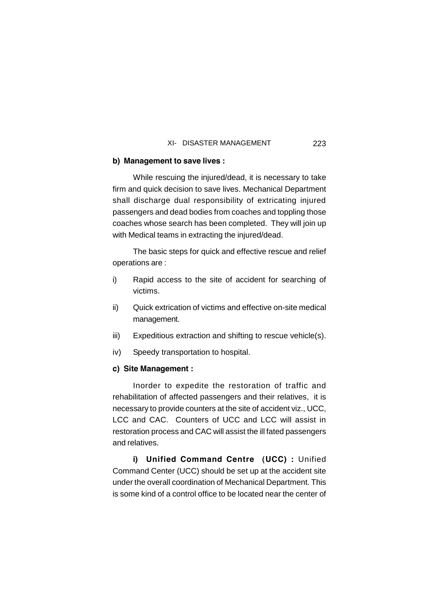# **b) Management to save lives :**

While rescuing the injured/dead, it is necessary to take firm and quick decision to save lives. Mechanical Department shall discharge dual responsibility of extricating injured passengers and dead bodies from coaches and toppling those coaches whose search has been completed. They will join up with Medical teams in extracting the injured/dead.

The basic steps for quick and effective rescue and relief operations are :

- i) Rapid access to the site of accident for searching of victims.
- ii) Quick extrication of victims and effective on-site medical management.
- iii) Expeditious extraction and shifting to rescue vehicle(s).
- iv) Speedy transportation to hospital.

# **c) Site Management :**

Inorder to expedite the restoration of traffic and rehabilitation of affected passengers and their relatives, it is necessary to provide counters at the site of accident viz., UCC, LCC and CAC. Counters of UCC and LCC will assist in restoration process and CAC will assist the ill fated passengers and relatives.

**i) Unified Command Centre (UCC) :** Unified Command Center (UCC) should be set up at the accident site under the overall coordination of Mechanical Department. This is some kind of a control office to be located near the center of

223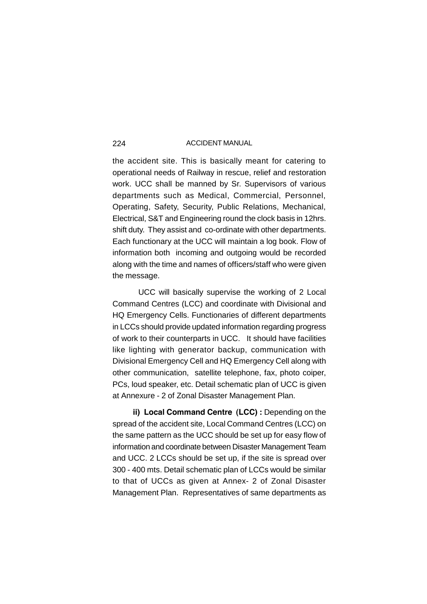the accident site. This is basically meant for catering to operational needs of Railway in rescue, relief and restoration work. UCC shall be manned by Sr. Supervisors of various departments such as Medical, Commercial, Personnel, Operating, Safety, Security, Public Relations, Mechanical, Electrical, S&T and Engineering round the clock basis in 12hrs. shift duty. They assist and co-ordinate with other departments. Each functionary at the UCC will maintain a log book. Flow of information both incoming and outgoing would be recorded along with the time and names of officers/staff who were given the message.

UCC will basically supervise the working of 2 Local Command Centres (LCC) and coordinate with Divisional and HQ Emergency Cells. Functionaries of different departments in LCCs should provide updated information regarding progress of work to their counterparts in UCC. It should have facilities like lighting with generator backup, communication with Divisional Emergency Cell and HQ Emergency Cell along with other communication, satellite telephone, fax, photo coiper, PCs, loud speaker, etc. Detail schematic plan of UCC is given at Annexure - 2 of Zonal Disaster Management Plan.

**ii) Local Command Centre (LCC) :** Depending on the spread of the accident site, Local Command Centres (LCC) on the same pattern as the UCC should be set up for easy flow of information and coordinate between Disaster Management Team and UCC. 2 LCCs should be set up, if the site is spread over 300 - 400 mts. Detail schematic plan of LCCs would be similar to that of UCCs as given at Annex- 2 of Zonal Disaster Management Plan. Representatives of same departments as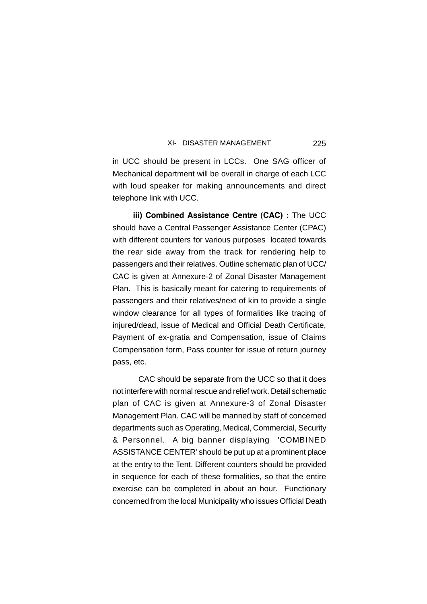225

in UCC should be present in LCCs. One SAG officer of Mechanical department will be overall in charge of each LCC with loud speaker for making announcements and direct telephone link with UCC.

**iii) Combined Assistance Centre (CAC) :** The UCC should have a Central Passenger Assistance Center (CPAC) with different counters for various purposes located towards the rear side away from the track for rendering help to passengers and their relatives. Outline schematic plan of UCC/ CAC is given at Annexure-2 of Zonal Disaster Management Plan. This is basically meant for catering to requirements of passengers and their relatives/next of kin to provide a single window clearance for all types of formalities like tracing of injured/dead, issue of Medical and Official Death Certificate, Payment of ex-gratia and Compensation, issue of Claims Compensation form, Pass counter for issue of return journey pass, etc.

CAC should be separate from the UCC so that it does not interfere with normal rescue and relief work. Detail schematic plan of CAC is given at Annexure-3 of Zonal Disaster Management Plan. CAC will be manned by staff of concerned departments such as Operating, Medical, Commercial, Security & Personnel. A big banner displaying 'COMBINED ASSISTANCE CENTER' should be put up at a prominent place at the entry to the Tent. Different counters should be provided in sequence for each of these formalities, so that the entire exercise can be completed in about an hour. Functionary concerned from the local Municipality who issues Official Death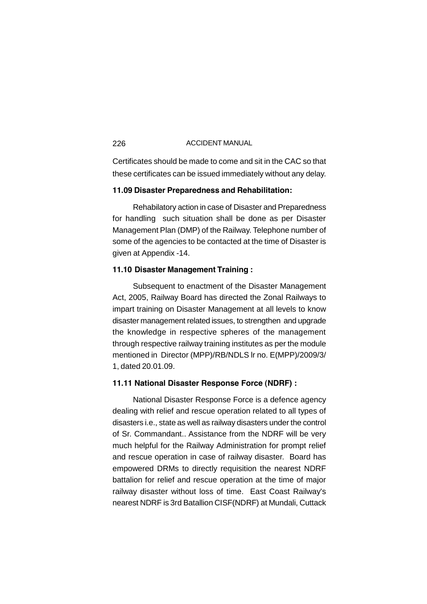Certificates should be made to come and sit in the CAC so that these certificates can be issued immediately without any delay.

# **11.09 Disaster Preparedness and Rehabilitation:**

Rehabilatory action in case of Disaster and Preparedness for handling such situation shall be done as per Disaster Management Plan (DMP) of the Railway. Telephone number of some of the agencies to be contacted at the time of Disaster is given at Appendix -14.

## **11.10 Disaster Management Training :**

Subsequent to enactment of the Disaster Management Act, 2005, Railway Board has directed the Zonal Railways to impart training on Disaster Management at all levels to know disaster management related issues, to strengthen and upgrade the knowledge in respective spheres of the management through respective railway training institutes as per the module mentioned in Director (MPP)/RB/NDLS lr no. E(MPP)/2009/3/ 1, dated 20.01.09.

# **11.11 National Disaster Response Force (NDRF) :**

National Disaster Response Force is a defence agency dealing with relief and rescue operation related to all types of disasters i.e., state as well as railway disasters under the control of Sr. Commandant.. Assistance from the NDRF will be very much helpful for the Railway Administration for prompt relief and rescue operation in case of railway disaster. Board has empowered DRMs to directly requisition the nearest NDRF battalion for relief and rescue operation at the time of major railway disaster without loss of time. East Coast Railway's nearest NDRF is 3rd Batallion CISF(NDRF) at Mundali, Cuttack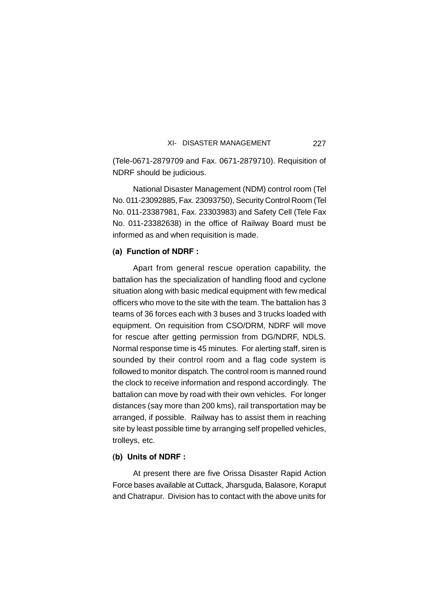(Tele-0671-2879709 and Fax. 0671-2879710). Requisition of NDRF should be judicious.

National Disaster Management (NDM) control room (Tel No. 011-23092885, Fax. 23093750), Security Control Room (Tel No. 011-23387981, Fax. 23303983) and Safety Cell (Tele Fax No. 011-23382638) in the office of Railway Board must be informed as and when requisition is made.

# **(a) Function of NDRF :**

Apart from general rescue operation capability, the battalion has the specialization of handling flood and cyclone situation along with basic medical equipment with few medical officers who move to the site with the team. The battalion has 3 teams of 36 forces each with 3 buses and 3 trucks loaded with equipment. On requisition from CSO/DRM, NDRF will move for rescue after getting permission from DG/NDRF, NDLS. Normal response time is 45 minutes. For alerting staff, siren is sounded by their control room and a flag code system is followed to monitor dispatch. The control room is manned round the clock to receive information and respond accordingly. The battalion can move by road with their own vehicles. For longer distances (say more than 200 kms), rail transportation may be arranged, if possible. Railway has to assist them in reaching site by least possible time by arranging self propelled vehicles, trolleys, etc.

#### **(b) Units of NDRF :**

At present there are five Orissa Disaster Rapid Action Force bases available at Cuttack, Jharsguda, Balasore, Koraput and Chatrapur. Division has to contact with the above units for

227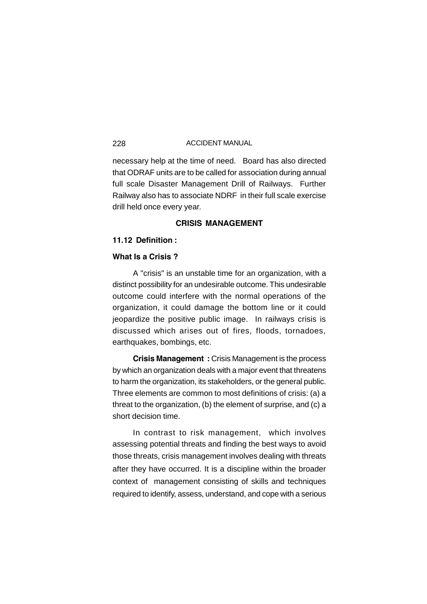necessary help at the time of need. Board has also directed that ODRAF units are to be called for association during annual full scale Disaster Management Drill of Railways. Further Railway also has to associate NDRF in their full scale exercise drill held once every year.

# **CRISIS MANAGEMENT**

# **11.12 Definition :**

# **What Is a Crisis ?**

A "crisis" is an unstable time for an organization, with a distinct possibility for an undesirable outcome. This undesirable outcome could interfere with the normal operations of the organization, it could damage the bottom line or it could jeopardize the positive public image. In railways crisis is discussed which arises out of fires, floods, tornadoes, earthquakes, bombings, etc.

**Crisis Management :** Crisis Management is the process by which an organization deals with a major event that threatens to harm the organization, its stakeholders, or the general public. Three elements are common to most definitions of crisis: (a) a threat to the organization, (b) the element of surprise, and (c) a short decision time.

In contrast to risk management, which involves assessing potential threats and finding the best ways to avoid those threats, crisis management involves dealing with threats after they have occurred. It is a discipline within the broader context of management consisting of skills and techniques required to identify, assess, understand, and cope with a serious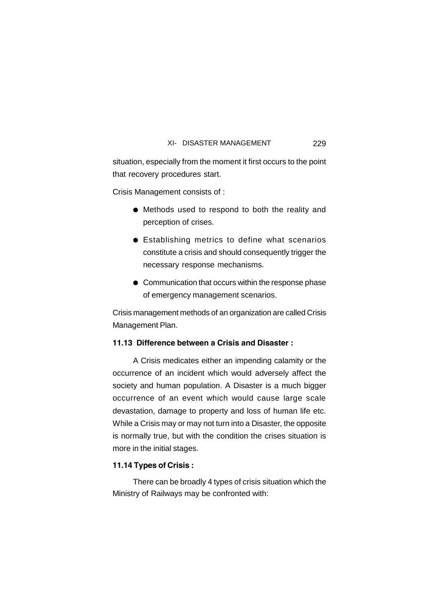situation, especially from the moment it first occurs to the point that recovery procedures start.

Crisis Management consists of :

- Methods used to respond to both the reality and perception of crises.
- Establishing metrics to define what scenarios constitute a crisis and should consequently trigger the necessary response mechanisms.
- Communication that occurs within the response phase of emergency management scenarios.

Crisis management methods of an organization are called Crisis Management Plan.

# **11.13 Difference between a Crisis and Disaster :**

A Crisis medicates either an impending calamity or the occurrence of an incident which would adversely affect the society and human population. A Disaster is a much bigger occurrence of an event which would cause large scale devastation, damage to property and loss of human life etc. While a Crisis may or may not turn into a Disaster, the opposite is normally true, but with the condition the crises situation is more in the initial stages.

# **11.14 Types of Crisis :**

There can be broadly 4 types of crisis situation which the Ministry of Railways may be confronted with: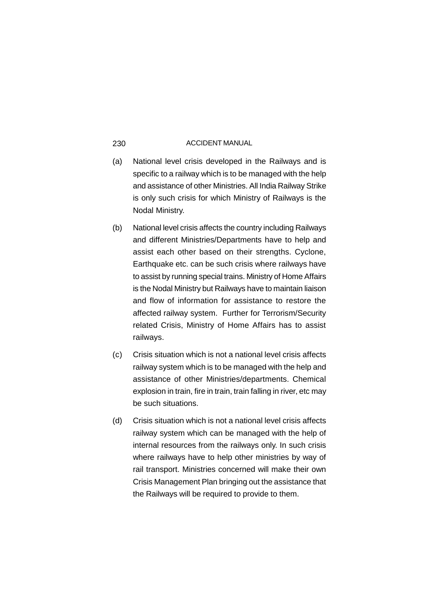- (a) National level crisis developed in the Railways and is specific to a railway which is to be managed with the help and assistance of other Ministries. All India Railway Strike is only such crisis for which Ministry of Railways is the Nodal Ministry.
- (b) National level crisis affects the country including Railways and different Ministries/Departments have to help and assist each other based on their strengths. Cyclone, Earthquake etc. can be such crisis where railways have to assist by running special trains. Ministry of Home Affairs is the Nodal Ministry but Railways have to maintain liaison and flow of information for assistance to restore the affected railway system. Further for Terrorism/Security related Crisis, Ministry of Home Affairs has to assist railways.
- (c) Crisis situation which is not a national level crisis affects railway system which is to be managed with the help and assistance of other Ministries/departments. Chemical explosion in train, fire in train, train falling in river, etc may be such situations.
- (d) Crisis situation which is not a national level crisis affects railway system which can be managed with the help of internal resources from the railways only. In such crisis where railways have to help other ministries by way of rail transport. Ministries concerned will make their own Crisis Management Plan bringing out the assistance that the Railways will be required to provide to them.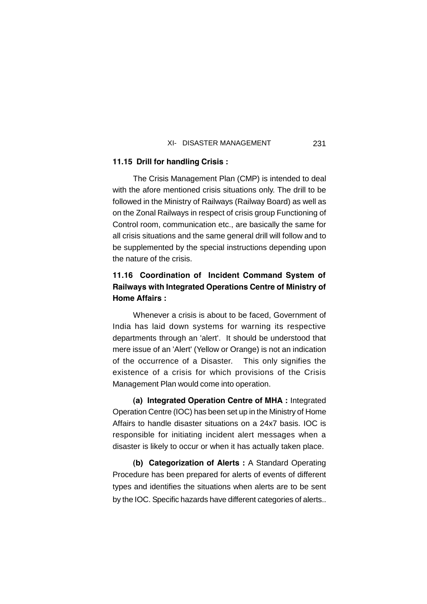# **11.15 Drill for handling Crisis :**

The Crisis Management Plan (CMP) is intended to deal with the afore mentioned crisis situations only. The drill to be followed in the Ministry of Railways (Railway Board) as well as on the Zonal Railways in respect of crisis group Functioning of Control room, communication etc., are basically the same for all crisis situations and the same general drill will follow and to be supplemented by the special instructions depending upon the nature of the crisis.

# **11.16 Coordination of Incident Command System of Railways with Integrated Operations Centre of Ministry of Home Affairs :**

Whenever a crisis is about to be faced, Government of India has laid down systems for warning its respective departments through an 'alert'. It should be understood that mere issue of an 'Alert' (Yellow or Orange) is not an indication of the occurrence of a Disaster. This only signifies the existence of a crisis for which provisions of the Crisis Management Plan would come into operation.

**(a) Integrated Operation Centre of MHA :** Integrated Operation Centre (IOC) has been set up in the Ministry of Home Affairs to handle disaster situations on a 24x7 basis. IOC is responsible for initiating incident alert messages when a disaster is likely to occur or when it has actually taken place.

**(b) Categorization of Alerts :** A Standard Operating Procedure has been prepared for alerts of events of different types and identifies the situations when alerts are to be sent by the IOC. Specific hazards have different categories of alerts..

231